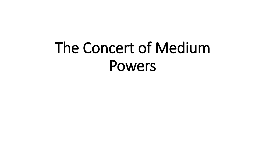# The Concert of Medium Powers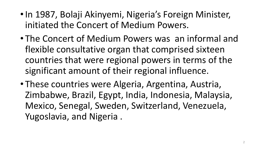- •In 1987, Bolaji Akinyemi, Nigeria's Foreign Minister, initiated the Concert of Medium Powers.
- The Concert of Medium Powers was an informal and flexible consultative organ that comprised sixteen countries that were regional powers in terms of the significant amount of their regional influence.
- These countries were Algeria, Argentina, Austria, Zimbabwe, Brazil, Egypt, India, Indonesia, Malaysia, Mexico, Senegal, Sweden, Switzerland, Venezuela, Yugoslavia, and Nigeria .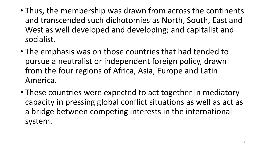- Thus, the membership was drawn from across the continents and transcended such dichotomies as North, South, East and West as well developed and developing; and capitalist and socialist.
- The emphasis was on those countries that had tended to pursue a neutralist or independent foreign policy, drawn from the four regions of Africa, Asia, Europe and Latin America.
- These countries were expected to act together in mediatory capacity in pressing global conflict situations as well as act as a bridge between competing interests in the international system.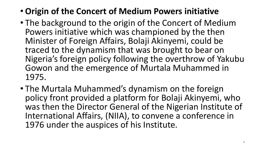### • **Origin of the Concert of Medium Powers initiative**

- The background to the origin of the Concert of Medium Powers initiative which was championed by the then Minister of Foreign Affairs, Bolaji Akinyemi, could be traced to the dynamism that was brought to bear on Nigeria's foreign policy following the overthrow of Yakubu Gowon and the emergence of Murtala Muhammed in 1975.
- The Murtala Muhammed's dynamism on the foreign policy front provided a platform for Bolaji Akinyemi, who was then the Director General of the Nigerian Institute of International Affairs, (NIIA), to convene a conference in 1976 under the auspices of his Institute.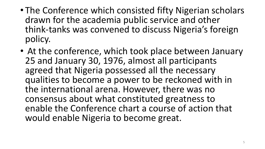- The Conference which consisted fifty Nigerian scholars drawn for the academia public service and other think-tanks was convened to discuss Nigeria's foreign policy.
- At the conference, which took place between January 25 and January 30, 1976, almost all participants agreed that Nigeria possessed all the necessary qualities to become a power to be reckoned with in the international arena. However, there was no consensus about what constituted greatness to enable the Conference chart a course of action that would enable Nigeria to become great.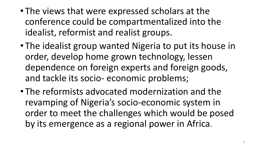- The views that were expressed scholars at the conference could be compartmentalized into the idealist, reformist and realist groups.
- The idealist group wanted Nigeria to put its house in order, develop home grown technology, lessen dependence on foreign experts and foreign goods, and tackle its socio- economic problems;
- The reformists advocated modernization and the revamping of Nigeria's socio-economic system in order to meet the challenges which would be posed by its emergence as a regional power in Africa.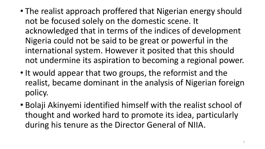- The realist approach proffered that Nigerian energy should not be focused solely on the domestic scene. It acknowledged that in terms of the indices of development Nigeria could not be said to be great or powerful in the international system. However it posited that this should not undermine its aspiration to becoming a regional power.
- It would appear that two groups, the reformist and the realist, became dominant in the analysis of Nigerian foreign policy.
- Bolaji Akinyemi identified himself with the realist school of thought and worked hard to promote its idea, particularly during his tenure as the Director General of NIIA.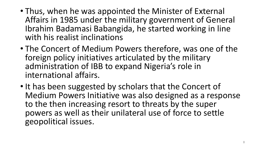- Thus, when he was appointed the Minister of External Affairs in 1985 under the military government of General Ibrahim Badamasi Babangida, he started working in line with his realist inclinations
- The Concert of Medium Powers therefore, was one of the foreign policy initiatives articulated by the military administration of IBB to expand Nigeria's role in international affairs.
- It has been suggested by scholars that the Concert of Medium Powers Initiative was also designed as a response to the then increasing resort to threats by the super powers as well as their unilateral use of force to settle geopolitical issues.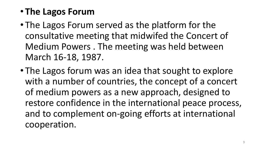## • **The Lagos Forum**

- The Lagos Forum served as the platform for the consultative meeting that midwifed the Concert of Medium Powers . The meeting was held between March 16-18, 1987.
- The Lagos forum was an idea that sought to explore with a number of countries, the concept of a concert of medium powers as a new approach, designed to restore confidence in the international peace process, and to complement on-going efforts at international cooperation.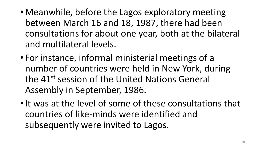- Meanwhile, before the Lagos exploratory meeting between March 16 and 18, 1987, there had been consultations for about one year, both at the bilateral and multilateral levels.
- For instance, informal ministerial meetings of a number of countries were held in New York, during the 41st session of the United Nations General Assembly in September, 1986.
- It was at the level of some of these consultations that countries of like-minds were identified and subsequently were invited to Lagos.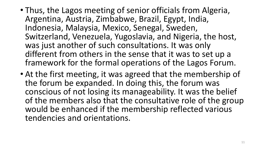- Thus, the Lagos meeting of senior officials from Algeria, Argentina, Austria, Zimbabwe, Brazil, Egypt, India, Indonesia, Malaysia, Mexico, Senegal, Sweden, Switzerland, Venezuela, Yugoslavia, and Nigeria, the host, was just another of such consultations. It was only different from others in the sense that it was to set up a framework for the formal operations of the Lagos Forum.
- At the first meeting, it was agreed that the membership of the forum be expanded. In doing this, the forum was conscious of not losing its manageability. It was the belief of the members also that the consultative role of the group would be enhanced if the membership reflected various tendencies and orientations.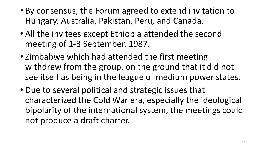- By consensus, the Forum agreed to extend invitation to Hungary, Australia, Pakistan, Peru, and Canada.
- All the invitees except Ethiopia attended the second meeting of 1-3 September, 1987.
- Zimbabwe which had attended the first meeting withdrew from the group, on the ground that it did not see itself as being in the league of medium power states.
- Due to several political and strategic issues that characterized the Cold War era, especially the ideological bipolarity of the international system, the meetings could not produce a draft charter.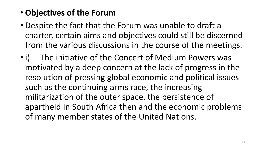#### • **Objectives of the Forum**

- Despite the fact that the Forum was unable to draft a charter, certain aims and objectives could still be discerned from the various discussions in the course of the meetings.
- i) The initiative of the Concert of Medium Powers was motivated by a deep concern at the lack of progress in the resolution of pressing global economic and political issues such as the continuing arms race, the increasing militarization of the outer space, the persistence of apartheid in South Africa then and the economic problems of many member states of the United Nations.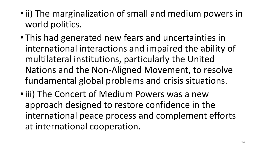- •ii) The marginalization of small and medium powers in world politics.
- This had generated new fears and uncertainties in international interactions and impaired the ability of multilateral institutions, particularly the United Nations and the Non-Aligned Movement, to resolve fundamental global problems and crisis situations.
- iii) The Concert of Medium Powers was a new approach designed to restore confidence in the international peace process and complement efforts at international cooperation.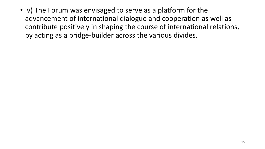• iv) The Forum was envisaged to serve as a platform for the advancement of international dialogue and cooperation as well as contribute positively in shaping the course of international relations, by acting as a bridge-builder across the various divides.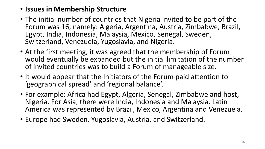#### • **Issues in Membership Structure**

- The initial number of countries that Nigeria invited to be part of the Forum was 16, namely: Algeria, Argentina, Austria, Zimbabwe, Brazil, Egypt, India, Indonesia, Malaysia, Mexico, Senegal, Sweden, Switzerland, Venezuela, Yugoslavia, and Nigeria.
- At the first meeting, it was agreed that the membership of Forum would eventually be expanded but the initial limitation of the number of invited countries was to build a Forum of manageable size.
- It would appear that the Initiators of the Forum paid attention to 'geographical spread' and 'regional balance'.
- For example: Africa had Egypt, Algeria, Senegal, Zimbabwe and host, Nigeria. For Asia, there were India, Indonesia and Malaysia. Latin America was represented by Brazil, Mexico, Argentina and Venezuela.
- Europe had Sweden, Yugoslavia, Austria, and Switzerland.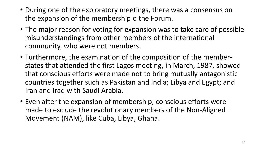- During one of the exploratory meetings, there was a consensus on the expansion of the membership o the Forum.
- The major reason for voting for expansion was to take care of possible misunderstandings from other members of the international community, who were not members.
- Furthermore, the examination of the composition of the memberstates that attended the first Lagos meeting, in March, 1987, showed that conscious efforts were made not to bring mutually antagonistic countries together such as Pakistan and India; Libya and Egypt; and Iran and Iraq with Saudi Arabia.
- Even after the expansion of membership, conscious efforts were made to exclude the revolutionary members of the Non-Aligned Movement (NAM), like Cuba, Libya, Ghana.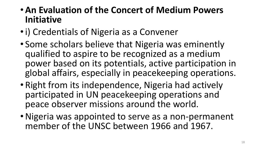- •**An Evaluation of the Concert of Medium Powers Initiative**
- •i) Credentials of Nigeria as a Convener
- Some scholars believe that Nigeria was eminently qualified to aspire to be recognized as a medium power based on its potentials, active participation in global affairs, especially in peacekeeping operations.
- Right from its independence, Nigeria had actively participated in UN peacekeeping operations and peace observer missions around the world.
- •Nigeria was appointed to serve as a non-permanent member of the UNSC between 1966 and 1967.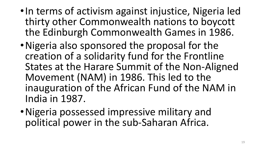- •In terms of activism against injustice, Nigeria led thirty other Commonwealth nations to boycott the Edinburgh Commonwealth Games in 1986.
- •Nigeria also sponsored the proposal for the creation of a solidarity fund for the Frontline States at the Harare Summit of the Non-Aligned Movement (NAM) in 1986. This led to the inauguration of the African Fund of the NAM in India in 1987.
- •Nigeria possessed impressive military and political power in the sub-Saharan Africa.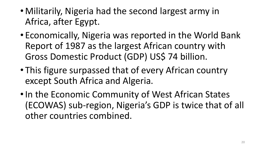- Militarily, Nigeria had the second largest army in Africa, after Egypt.
- Economically, Nigeria was reported in the World Bank Report of 1987 as the largest African country with Gross Domestic Product (GDP) US\$ 74 billion.
- This figure surpassed that of every African country except South Africa and Algeria.
- In the Economic Community of West African States (ECOWAS) sub-region, Nigeria's GDP is twice that of all other countries combined.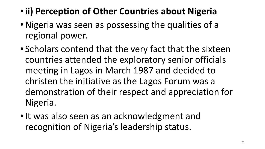- •**ii) Perception of Other Countries about Nigeria**
- •Nigeria was seen as possessing the qualities of a regional power.
- Scholars contend that the very fact that the sixteen countries attended the exploratory senior officials meeting in Lagos in March 1987 and decided to christen the initiative as the Lagos Forum was a demonstration of their respect and appreciation for Nigeria.
- It was also seen as an acknowledgment and recognition of Nigeria's leadership status.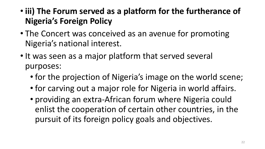- **iii) The Forum served as a platform for the furtherance of Nigeria's Foreign Policy**
- The Concert was conceived as an avenue for promoting Nigeria's national interest.
- It was seen as a major platform that served several purposes:
	- for the projection of Nigeria's image on the world scene;
	- for carving out a major role for Nigeria in world affairs.
	- providing an extra-African forum where Nigeria could enlist the cooperation of certain other countries, in the pursuit of its foreign policy goals and objectives.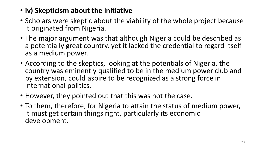- **iv) Skepticism about the Initiative**
- Scholars were skeptic about the viability of the whole project because it originated from Nigeria.
- The major argument was that although Nigeria could be described as a potentially great country, yet it lacked the credential to regard itself as a medium power.
- According to the skeptics, looking at the potentials of Nigeria, the country was eminently qualified to be in the medium power club and by extension, could aspire to be recognized as a strong force in international politics.
- However, they pointed out that this was not the case.
- To them, therefore, for Nigeria to attain the status of medium power, it must get certain things right, particularly its economic development.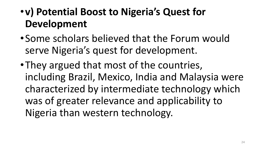# •**v) Potential Boost to Nigeria's Quest for Development**

- •Some scholars believed that the Forum would serve Nigeria's quest for development.
- •They argued that most of the countries, including Brazil, Mexico, India and Malaysia were characterized by intermediate technology which was of greater relevance and applicability to Nigeria than western technology.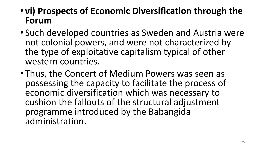- **vi) Prospects of Economic Diversification through the Forum**
- Such developed countries as Sweden and Austria were not colonial powers, and were not characterized by the type of exploitative capitalism typical of other western countries.
- Thus, the Concert of Medium Powers was seen as possessing the capacity to facilitate the process of economic diversification which was necessary to cushion the fallouts of the structural adjustment programme introduced by the Babangida administration.